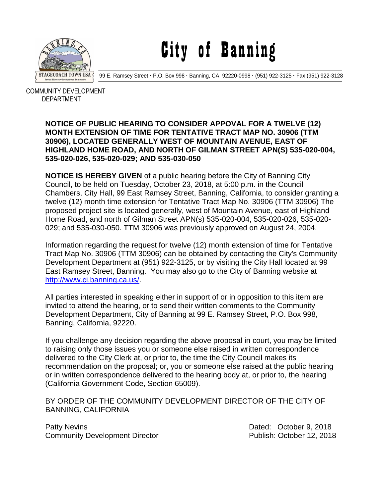

City of Banning

99 E. Ramsey Street **·** P.O. Box 998 **·** Banning, CA 92220-0998 **·** (951) 922-3125 **·** Fax (951) 922-3128

 COMMUNITY DEVELOPMENT DEPARTMENT

## **NOTICE OF PUBLIC HEARING TO CONSIDER APPOVAL FOR A TWELVE (12) MONTH EXTENSION OF TIME FOR TENTATIVE TRACT MAP NO. 30906 (TTM 30906), LOCATED GENERALLY WEST OF MOUNTAIN AVENUE, EAST OF HIGHLAND HOME ROAD, AND NORTH OF GILMAN STREET APN(S) 535-020-004, 535-020-026, 535-020-029; AND 535-030-050**

**NOTICE IS HEREBY GIVEN** of a public hearing before the City of Banning City Council, to be held on Tuesday, October 23, 2018, at 5:00 p.m. in the Council Chambers, City Hall, 99 East Ramsey Street, Banning, California, to consider granting a twelve (12) month time extension for Tentative Tract Map No. 30906 (TTM 30906) The proposed project site is located generally, west of Mountain Avenue, east of Highland Home Road, and north of Gilman Street APN(s) 535-020-004, 535-020-026, 535-020- 029; and 535-030-050. TTM 30906 was previously approved on August 24, 2004.

Information regarding the request for twelve (12) month extension of time for Tentative Tract Map No. 30906 (TTM 30906) can be obtained by contacting the City's Community Development Department at (951) 922-3125, or by visiting the City Hall located at 99 East Ramsey Street, Banning. You may also go to the City of Banning website at [http://www.ci.banning.ca.us/.](http://www.ci.banning.ca.us/)

All parties interested in speaking either in support of or in opposition to this item are invited to attend the hearing, or to send their written comments to the Community Development Department, City of Banning at 99 E. Ramsey Street, P.O. Box 998, Banning, California, 92220.

If you challenge any decision regarding the above proposal in court, you may be limited to raising only those issues you or someone else raised in written correspondence delivered to the City Clerk at, or prior to, the time the City Council makes its recommendation on the proposal; or, you or someone else raised at the public hearing or in written correspondence delivered to the hearing body at, or prior to, the hearing (California Government Code, Section 65009).

BY ORDER OF THE COMMUNITY DEVELOPMENT DIRECTOR OF THE CITY OF BANNING, CALIFORNIA

Patty Nevins **Patty News** 2018 Community Development Director **Publish: October 12, 2018**